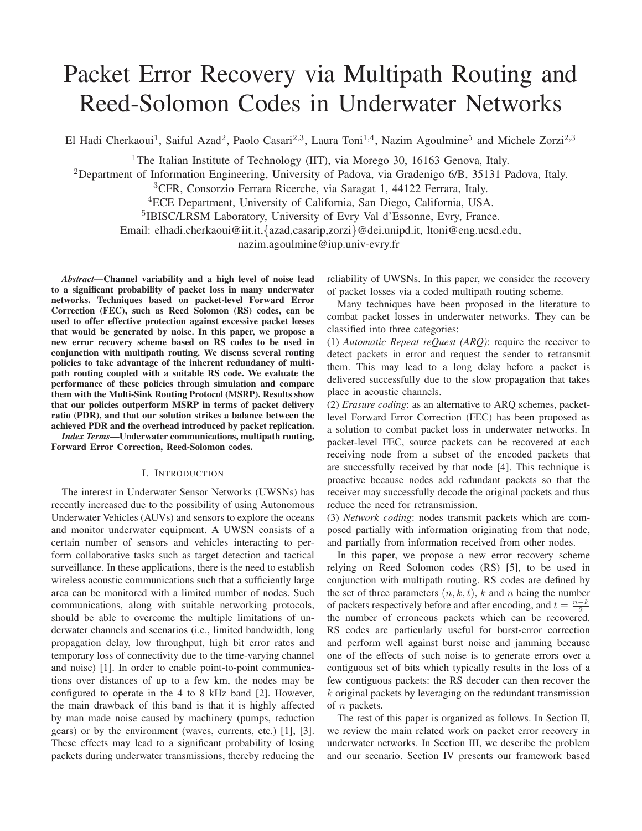# Packet Error Recovery via Multipath Routing and Reed-Solomon Codes in Underwater Networks

El Hadi Cherkaoui<sup>1</sup>, Saiful Azad<sup>2</sup>, Paolo Casari<sup>2,3</sup>, Laura Toni<sup>1,4</sup>, Nazim Agoulmine<sup>5</sup> and Michele Zorzi<sup>2,3</sup>

<sup>1</sup>The Italian Institute of Technology (IIT), via Morego 30, 16163 Genova, Italy.

<sup>2</sup>Department of Information Engineering, University of Padova, via Gradenigo 6/B, 35131 Padova, Italy.

<sup>3</sup>CFR, Consorzio Ferrara Ricerche, via Saragat 1, 44122 Ferrara, Italy.

<sup>4</sup>ECE Department, University of California, San Diego, California, USA.

<sup>5</sup>IBISC/LRSM Laboratory, University of Evry Val d'Essonne, Evry, France.

Email: elhadi.cherkaoui@iit.it,{azad,casarip,zorzi}@dei.unipd.it, ltoni@eng.ucsd.edu,

nazim.agoulmine@iup.univ-evry.fr

*Abstract***—Channel variability and a high level of noise lead to a significant probability of packet loss in many underwater networks. Techniques based on packet-level Forward Error Correction (FEC), such as Reed Solomon (RS) codes, can be used to offer effective protection against excessive packet losses that would be generated by noise. In this paper, we propose a new error recovery scheme based on RS codes to be used in conjunction with multipath routing. We discuss several routing policies to take advantage of the inherent redundancy of multipath routing coupled with a suitable RS code. We evaluate the performance of these policies through simulation and compare them with the Multi-Sink Routing Protocol (MSRP). Results show that our policies outperform MSRP in terms of packet delivery ratio (PDR), and that our solution strikes a balance between the achieved PDR and the overhead introduced by packet replication.**

*Index Terms***—Underwater communications, multipath routing, Forward Error Correction, Reed-Solomon codes.**

### I. INTRODUCTION

The interest in Underwater Sensor Networks (UWSNs) has recently increased due to the possibility of using Autonomous Underwater Vehicles (AUVs) and sensors to explore the oceans and monitor underwater equipment. A UWSN consists of a certain number of sensors and vehicles interacting to perform collaborative tasks such as target detection and tactical surveillance. In these applications, there is the need to establish wireless acoustic communications such that a sufficiently large area can be monitored with a limited number of nodes. Such communications, along with suitable networking protocols, should be able to overcome the multiple limitations of underwater channels and scenarios (i.e., limited bandwidth, long propagation delay, low throughput, high bit error rates and temporary loss of connectivity due to the time-varying channel and noise) [1]. In order to enable point-to-point communications over distances of up to a few km, the nodes may be configured to operate in the 4 to 8 kHz band [2]. However, the main drawback of this band is that it is highly affected by man made noise caused by machinery (pumps, reduction gears) or by the environment (waves, currents, etc.) [1], [3]. These effects may lead to a significant probability of losing packets during underwater transmissions, thereby reducing the

reliability of UWSNs. In this paper, we consider the recovery of packet losses via a coded multipath routing scheme.

Many techniques have been proposed in the literature to combat packet losses in underwater networks. They can be classified into three categories:

(1) *Automatic Repeat reQuest (ARQ)*: require the receiver to detect packets in error and request the sender to retransmit them. This may lead to a long delay before a packet is delivered successfully due to the slow propagation that takes place in acoustic channels.

(2) *Erasure coding*: as an alternative to ARQ schemes, packetlevel Forward Error Correction (FEC) has been proposed as a solution to combat packet loss in underwater networks. In packet-level FEC, source packets can be recovered at each receiving node from a subset of the encoded packets that are successfully received by that node [4]. This technique is proactive because nodes add redundant packets so that the receiver may successfully decode the original packets and thus reduce the need for retransmission.

(3) *Network coding*: nodes transmit packets which are composed partially with information originating from that node, and partially from information received from other nodes.

In this paper, we propose a new error recovery scheme relying on Reed Solomon codes (RS) [5], to be used in conjunction with multipath routing. RS codes are defined by the set of three parameters  $(n, k, t)$ , k and n being the number of packets respectively before and after encoding, and  $t = \frac{n-k}{2}$ the number of erroneous packets which can be recovered. RS codes are particularly useful for burst-error correction and perform well against burst noise and jamming because one of the effects of such noise is to generate errors over a contiguous set of bits which typically results in the loss of a few contiguous packets: the RS decoder can then recover the  $k$  original packets by leveraging on the redundant transmission of  $n$  packets.

The rest of this paper is organized as follows. In Section II, we review the main related work on packet error recovery in underwater networks. In Section III, we describe the problem and our scenario. Section IV presents our framework based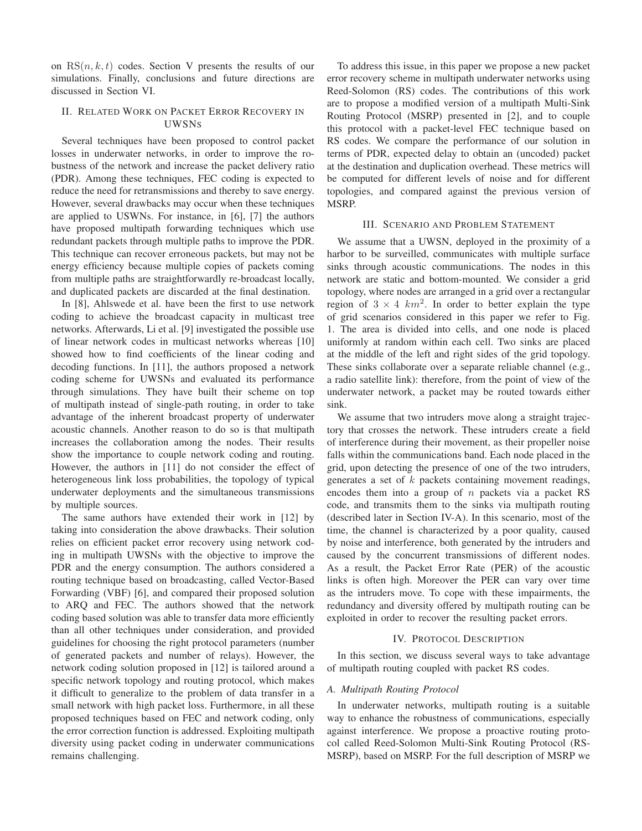on  $RS(n, k, t)$  codes. Section V presents the results of our simulations. Finally, conclusions and future directions are discussed in Section VI.

# II. RELATED WORK ON PACKET ERROR RECOVERY IN UWSNS

Several techniques have been proposed to control packet losses in underwater networks, in order to improve the robustness of the network and increase the packet delivery ratio (PDR). Among these techniques, FEC coding is expected to reduce the need for retransmissions and thereby to save energy. However, several drawbacks may occur when these techniques are applied to USWNs. For instance, in [6], [7] the authors have proposed multipath forwarding techniques which use redundant packets through multiple paths to improve the PDR. This technique can recover erroneous packets, but may not be energy efficiency because multiple copies of packets coming from multiple paths are straightforwardly re-broadcast locally, and duplicated packets are discarded at the final destination.

In [8], Ahlswede et al. have been the first to use network coding to achieve the broadcast capacity in multicast tree networks. Afterwards, Li et al. [9] investigated the possible use of linear network codes in multicast networks whereas [10] showed how to find coefficients of the linear coding and decoding functions. In [11], the authors proposed a network coding scheme for UWSNs and evaluated its performance through simulations. They have built their scheme on top of multipath instead of single-path routing, in order to take advantage of the inherent broadcast property of underwater acoustic channels. Another reason to do so is that multipath increases the collaboration among the nodes. Their results show the importance to couple network coding and routing. However, the authors in [11] do not consider the effect of heterogeneous link loss probabilities, the topology of typical underwater deployments and the simultaneous transmissions by multiple sources.

The same authors have extended their work in [12] by taking into consideration the above drawbacks. Their solution relies on efficient packet error recovery using network coding in multipath UWSNs with the objective to improve the PDR and the energy consumption. The authors considered a routing technique based on broadcasting, called Vector-Based Forwarding (VBF) [6], and compared their proposed solution to ARQ and FEC. The authors showed that the network coding based solution was able to transfer data more efficiently than all other techniques under consideration, and provided guidelines for choosing the right protocol parameters (number of generated packets and number of relays). However, the network coding solution proposed in [12] is tailored around a specific network topology and routing protocol, which makes it difficult to generalize to the problem of data transfer in a small network with high packet loss. Furthermore, in all these proposed techniques based on FEC and network coding, only the error correction function is addressed. Exploiting multipath diversity using packet coding in underwater communications remains challenging.

To address this issue, in this paper we propose a new packet error recovery scheme in multipath underwater networks using Reed-Solomon (RS) codes. The contributions of this work are to propose a modified version of a multipath Multi-Sink Routing Protocol (MSRP) presented in [2], and to couple this protocol with a packet-level FEC technique based on RS codes. We compare the performance of our solution in terms of PDR, expected delay to obtain an (uncoded) packet at the destination and duplication overhead. These metrics will be computed for different levels of noise and for different topologies, and compared against the previous version of MSRP.

## III. SCENARIO AND PROBLEM STATEMENT

We assume that a UWSN, deployed in the proximity of a harbor to be surveilled, communicates with multiple surface sinks through acoustic communications. The nodes in this network are static and bottom-mounted. We consider a grid topology, where nodes are arranged in a grid over a rectangular region of  $3 \times 4 \ km^2$ . In order to better explain the type of grid scenarios considered in this paper we refer to Fig. 1. The area is divided into cells, and one node is placed uniformly at random within each cell. Two sinks are placed at the middle of the left and right sides of the grid topology. These sinks collaborate over a separate reliable channel (e.g., a radio satellite link): therefore, from the point of view of the underwater network, a packet may be routed towards either sink.

We assume that two intruders move along a straight trajectory that crosses the network. These intruders create a field of interference during their movement, as their propeller noise falls within the communications band. Each node placed in the grid, upon detecting the presence of one of the two intruders, generates a set of  $k$  packets containing movement readings, encodes them into a group of  $n$  packets via a packet RS code, and transmits them to the sinks via multipath routing (described later in Section IV-A). In this scenario, most of the time, the channel is characterized by a poor quality, caused by noise and interference, both generated by the intruders and caused by the concurrent transmissions of different nodes. As a result, the Packet Error Rate (PER) of the acoustic links is often high. Moreover the PER can vary over time as the intruders move. To cope with these impairments, the redundancy and diversity offered by multipath routing can be exploited in order to recover the resulting packet errors.

#### IV. PROTOCOL DESCRIPTION

In this section, we discuss several ways to take advantage of multipath routing coupled with packet RS codes.

#### *A. Multipath Routing Protocol*

In underwater networks, multipath routing is a suitable way to enhance the robustness of communications, especially against interference. We propose a proactive routing protocol called Reed-Solomon Multi-Sink Routing Protocol (RS-MSRP), based on MSRP. For the full description of MSRP we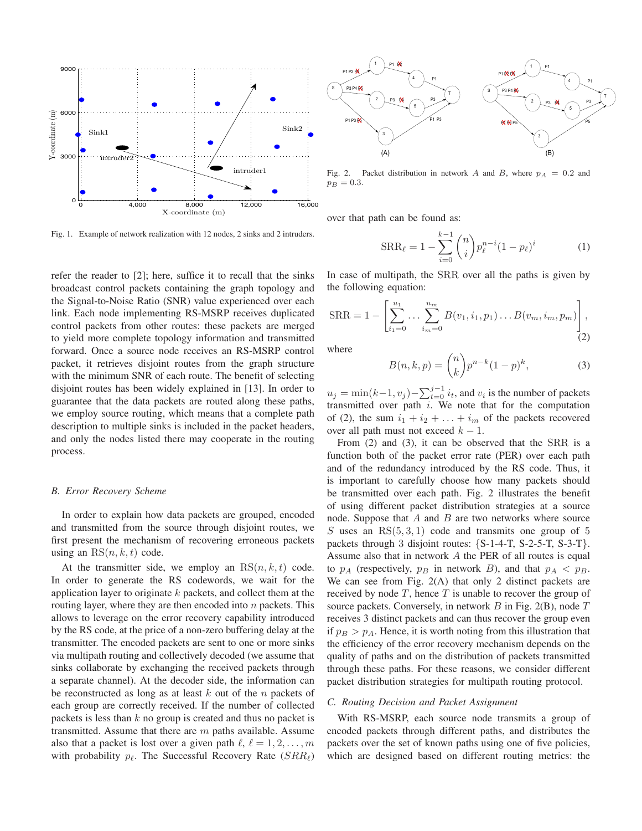

Fig. 1. Example of network realization with 12 nodes, 2 sinks and 2 intruders.

refer the reader to [2]; here, suffice it to recall that the sinks broadcast control packets containing the graph topology and the Signal-to-Noise Ratio (SNR) value experienced over each link. Each node implementing RS-MSRP receives duplicated control packets from other routes: these packets are merged to yield more complete topology information and transmitted forward. Once a source node receives an RS-MSRP control packet, it retrieves disjoint routes from the graph structure with the minimum SNR of each route. The benefit of selecting disjoint routes has been widely explained in [13]. In order to guarantee that the data packets are routed along these paths, we employ source routing, which means that a complete path description to multiple sinks is included in the packet headers, and only the nodes listed there may cooperate in the routing process.

#### *B. Error Recovery Scheme*

In order to explain how data packets are grouped, encoded and transmitted from the source through disjoint routes, we first present the mechanism of recovering erroneous packets using an  $RS(n, k, t)$  code.

At the transmitter side, we employ an  $RS(n, k, t)$  code. In order to generate the RS codewords, we wait for the application layer to originate  $k$  packets, and collect them at the routing layer, where they are then encoded into  $n$  packets. This allows to leverage on the error recovery capability introduced by the RS code, at the price of a non-zero buffering delay at the transmitter. The encoded packets are sent to one or more sinks via multipath routing and collectively decoded (we assume that sinks collaborate by exchanging the received packets through a separate channel). At the decoder side, the information can be reconstructed as long as at least  $k$  out of the  $n$  packets of each group are correctly received. If the number of collected packets is less than  $k$  no group is created and thus no packet is transmitted. Assume that there are  $m$  paths available. Assume also that a packet is lost over a given path  $\ell, \ell = 1, 2, \ldots, m$ with probability  $p_{\ell}$ . The Successful Recovery Rate ( $SRR_{\ell}$ )



Fig. 2. Packet distribution in network A and B, where  $p_A = 0.2$  and  $p_B = 0.3.$ 

over that path can be found as:

$$
SRR_{\ell} = 1 - \sum_{i=0}^{k-1} {n \choose i} p_{\ell}^{n-i} (1 - p_{\ell})^{i}
$$
 (1)

In case of multipath, the SRR over all the paths is given by the following equation:

$$
SRR = 1 - \left[ \sum_{i_1=0}^{u_1} \dots \sum_{i_m=0}^{u_m} B(v_1, i_1, p_1) \dots B(v_m, i_m, p_m) \right],
$$
\n(2)

where

$$
B(n,k,p) = \binom{n}{k} p^{n-k} (1-p)^k,
$$
 (3)

 $u_j = \min(k-1, v_j) - \sum_{t=0}^{j-1} i_t$ , and  $v_i$  is the number of packets transmitted over path  $i$ . We note that for the computation of (2), the sum  $i_1 + i_2 + \ldots + i_m$  of the packets recovered over all path must not exceed  $k - 1$ .

From (2) and (3), it can be observed that the SRR is a function both of the packet error rate (PER) over each path and of the redundancy introduced by the RS code. Thus, it is important to carefully choose how many packets should be transmitted over each path. Fig. 2 illustrates the benefit of using different packet distribution strategies at a source node. Suppose that  $A$  and  $B$  are two networks where source S uses an  $RS(5,3,1)$  code and transmits one group of 5 packets through 3 disjoint routes: {S-1-4-T, S-2-5-T, S-3-T}. Assume also that in network  $A$  the PER of all routes is equal to  $p_A$  (respectively,  $p_B$  in network B), and that  $p_A < p_B$ . We can see from Fig. 2(A) that only 2 distinct packets are received by node  $T$ , hence  $T$  is unable to recover the group of source packets. Conversely, in network  $B$  in Fig. 2(B), node  $T$ receives 3 distinct packets and can thus recover the group even if  $p_B > p_A$ . Hence, it is worth noting from this illustration that the efficiency of the error recovery mechanism depends on the quality of paths and on the distribution of packets transmitted through these paths. For these reasons, we consider different packet distribution strategies for multipath routing protocol.

#### *C. Routing Decision and Packet Assignment*

With RS-MSRP, each source node transmits a group of encoded packets through different paths, and distributes the packets over the set of known paths using one of five policies, which are designed based on different routing metrics: the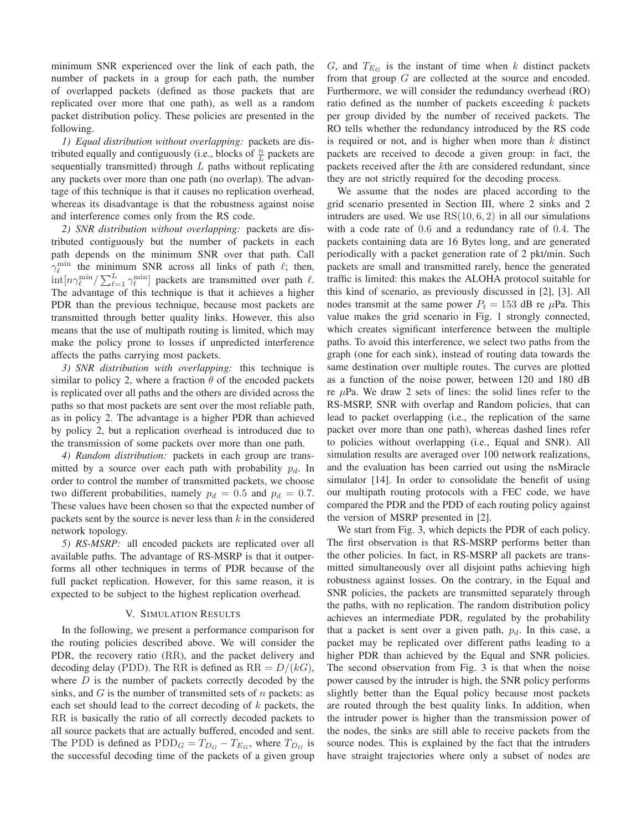minimum SNR experienced over the link of each path, the number of packets in a group for each path, the number of overlapped packets (defined as those packets that are replicated over more that one path), as well as a random packet distribution policy. These policies are presented in the following.

*1) Equal distribution without overlapping:* packets are distributed equally and contiguously (i.e., blocks of  $\frac{n}{L}$  packets are sequentially transmitted) through  $L$  paths without replicating any packets over more than one path (no overlap). The advantage of this technique is that it causes no replication overhead, whereas its disadvantage is that the robustness against noise and interference comes only from the RS code.

*2) SNR distribution without overlapping:* packets are distributed contiguously but the number of packets in each path depends on the minimum SNR over that path. Call  $\gamma_{\ell}^{\min}$  the minimum SNR across all links of path  $\ell$ ; then,  $\int \inf\left[n\gamma_\ell^{\min}/\sum_{\ell=1}^L \gamma_\ell^{\min}\right]$  packets are transmitted over path  $\ell$ . The advantage of this technique is that it achieves a higher PDR than the previous technique, because most packets are transmitted through better quality links. However, this also means that the use of multipath routing is limited, which may make the policy prone to losses if unpredicted interference affects the paths carrying most packets.

*3) SNR distribution with overlapping:* this technique is similar to policy 2, where a fraction  $\theta$  of the encoded packets is replicated over all paths and the others are divided across the paths so that most packets are sent over the most reliable path, as in policy 2. The advantage is a higher PDR than achieved by policy 2, but a replication overhead is introduced due to the transmission of some packets over more than one path.

*4) Random distribution:* packets in each group are transmitted by a source over each path with probability  $p_d$ . In order to control the number of transmitted packets, we choose two different probabilities, namely  $p_d = 0.5$  and  $p_d = 0.7$ . These values have been chosen so that the expected number of packets sent by the source is never less than  $k$  in the considered network topology.

*5) RS-MSRP:* all encoded packets are replicated over all available paths. The advantage of RS-MSRP is that it outperforms all other techniques in terms of PDR because of the full packet replication. However, for this same reason, it is expected to be subject to the highest replication overhead.

### V. SIMULATION RESULTS

In the following, we present a performance comparison for the routing policies described above. We will consider the PDR, the recovery ratio (RR), and the packet delivery and decoding delay (PDD). The RR is defined as  $RR = D/(kG)$ , where  $D$  is the number of packets correctly decoded by the sinks, and  $G$  is the number of transmitted sets of  $n$  packets: as each set should lead to the correct decoding of  $k$  packets, the RR is basically the ratio of all correctly decoded packets to all source packets that are actually buffered, encoded and sent. The PDD is defined as  $PDD<sub>G</sub> = T<sub>D<sub>G</sub></sub> - T<sub>E<sub>G</sub></sub>$ , where  $T<sub>D<sub>G</sub></sub>$  is the successful decoding time of the packets of a given group G, and  $T_{E_G}$  is the instant of time when k distinct packets from that group  $G$  are collected at the source and encoded. Furthermore, we will consider the redundancy overhead (RO) ratio defined as the number of packets exceeding  $k$  packets per group divided by the number of received packets. The RO tells whether the redundancy introduced by the RS code is required or not, and is higher when more than  $k$  distinct packets are received to decode a given group: in fact, the packets received after the  $k$ th are considered redundant, since they are not strictly required for the decoding process.

We assume that the nodes are placed according to the grid scenario presented in Section III, where 2 sinks and 2 intruders are used. We use  $RS(10, 6, 2)$  in all our simulations with a code rate of 0.6 and a redundancy rate of 0.4. The packets containing data are 16 Bytes long, and are generated periodically with a packet generation rate of 2 pkt/min. Such packets are small and transmitted rarely, hence the generated traffic is limited: this makes the ALOHA protocol suitable for this kind of scenario, as previously discussed in [2], [3]. All nodes transmit at the same power  $P_t = 153$  dB re  $\mu$ Pa. This value makes the grid scenario in Fig. 1 strongly connected, which creates significant interference between the multiple paths. To avoid this interference, we select two paths from the graph (one for each sink), instead of routing data towards the same destination over multiple routes. The curves are plotted as a function of the noise power, between 120 and 180 dB re  $\mu$ Pa. We draw 2 sets of lines: the solid lines refer to the RS-MSRP, SNR with overlap and Random policies, that can lead to packet overlapping (i.e., the replication of the same packet over more than one path), whereas dashed lines refer to policies without overlapping (i.e., Equal and SNR). All simulation results are averaged over 100 network realizations, and the evaluation has been carried out using the nsMiracle simulator [14]. In order to consolidate the benefit of using our multipath routing protocols with a FEC code, we have compared the PDR and the PDD of each routing policy against the version of MSRP presented in [2].

We start from Fig. 3, which depicts the PDR of each policy. The first observation is that RS-MSRP performs better than the other policies. In fact, in RS-MSRP all packets are transmitted simultaneously over all disjoint paths achieving high robustness against losses. On the contrary, in the Equal and SNR policies, the packets are transmitted separately through the paths, with no replication. The random distribution policy achieves an intermediate PDR, regulated by the probability that a packet is sent over a given path,  $p_d$ . In this case, a packet may be replicated over different paths leading to a higher PDR than achieved by the Equal and SNR policies. The second observation from Fig. 3 is that when the noise power caused by the intruder is high, the SNR policy performs slightly better than the Equal policy because most packets are routed through the best quality links. In addition, when the intruder power is higher than the transmission power of the nodes, the sinks are still able to receive packets from the source nodes. This is explained by the fact that the intruders have straight trajectories where only a subset of nodes are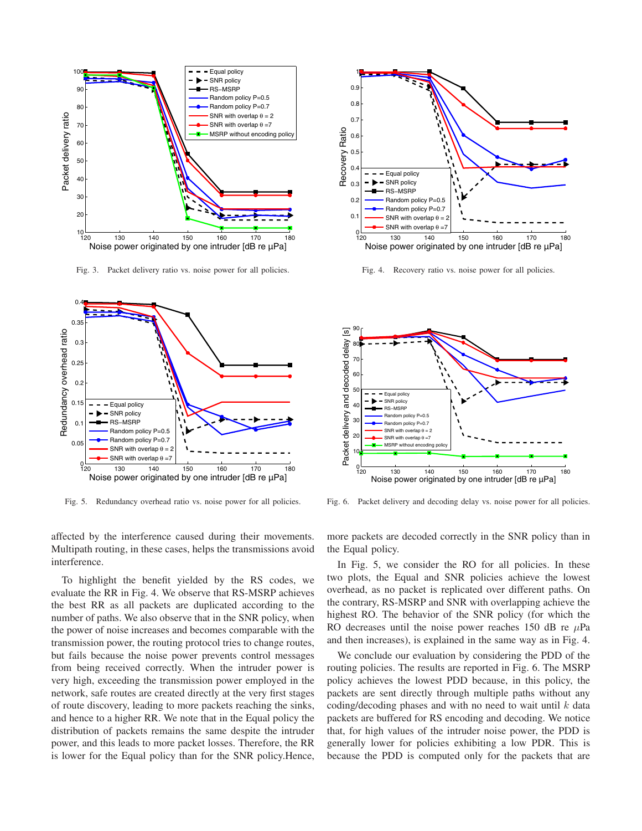

Fig. 3. Packet delivery ratio vs. noise power for all policies.



Fig. 5. Redundancy overhead ratio vs. noise power for all policies.

affected by the interference caused during their movements. Multipath routing, in these cases, helps the transmissions avoid interference.

To highlight the benefit yielded by the RS codes, we evaluate the RR in Fig. 4. We observe that RS-MSRP achieves the best RR as all packets are duplicated according to the number of paths. We also observe that in the SNR policy, when the power of noise increases and becomes comparable with the transmission power, the routing protocol tries to change routes, but fails because the noise power prevents control messages from being received correctly. When the intruder power is very high, exceeding the transmission power employed in the network, safe routes are created directly at the very first stages of route discovery, leading to more packets reaching the sinks, and hence to a higher RR. We note that in the Equal policy the distribution of packets remains the same despite the intruder power, and this leads to more packet losses. Therefore, the RR is lower for the Equal policy than for the SNR policy.Hence,



Fig. 4. Recovery ratio vs. noise power for all policies.



Fig. 6. Packet delivery and decoding delay vs. noise power for all policies.

more packets are decoded correctly in the SNR policy than in the Equal policy.

In Fig. 5, we consider the RO for all policies. In these two plots, the Equal and SNR policies achieve the lowest overhead, as no packet is replicated over different paths. On the contrary, RS-MSRP and SNR with overlapping achieve the highest RO. The behavior of the SNR policy (for which the RO decreases until the noise power reaches 150 dB re  $\mu$ Pa and then increases), is explained in the same way as in Fig. 4.

We conclude our evaluation by considering the PDD of the routing policies. The results are reported in Fig. 6. The MSRP policy achieves the lowest PDD because, in this policy, the packets are sent directly through multiple paths without any coding/decoding phases and with no need to wait until  $k$  data packets are buffered for RS encoding and decoding. We notice that, for high values of the intruder noise power, the PDD is generally lower for policies exhibiting a low PDR. This is because the PDD is computed only for the packets that are